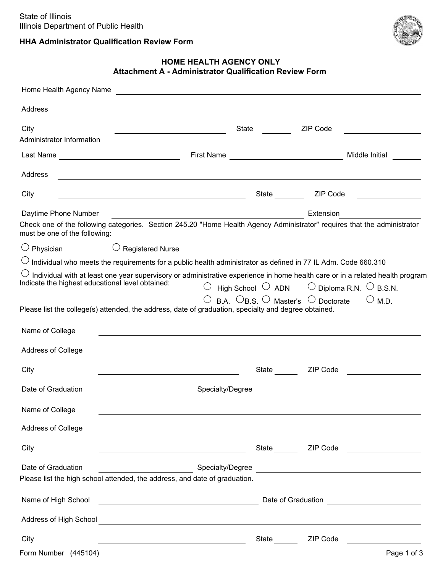

# **HHA Administrator Qualification Review Form**

## **HOME HEALTH AGENCY ONLY Attachment A - Administrator Qualification Review Form**

| Home Health Agency Name                               |                                                                                                                                                                                          |                                                                                                                                                                                                                                                                                                                                                                |                                                                      |                                         |
|-------------------------------------------------------|------------------------------------------------------------------------------------------------------------------------------------------------------------------------------------------|----------------------------------------------------------------------------------------------------------------------------------------------------------------------------------------------------------------------------------------------------------------------------------------------------------------------------------------------------------------|----------------------------------------------------------------------|-----------------------------------------|
| Address                                               | ,我们也不会有什么。""我们的人,我们也不会有什么?""我们的人,我们也不会有什么?""我们的人,我们也不会有什么?""我们的人,我们也不会有什么?""我们的人                                                                                                         |                                                                                                                                                                                                                                                                                                                                                                |                                                                      |                                         |
| City<br>Administrator Information                     |                                                                                                                                                                                          | State                                                                                                                                                                                                                                                                                                                                                          | ZIP Code                                                             | <u> 1990 - Johann Barbara, martin a</u> |
|                                                       | First Name                                                                                                                                                                               | <u> 1989 - Johann Stoff, fransk politik (d. 19</u>                                                                                                                                                                                                                                                                                                             |                                                                      | Middle Initial                          |
| Address                                               | <u> 1989 - Johann Barn, mars and de Brasilian (b. 1989)</u>                                                                                                                              |                                                                                                                                                                                                                                                                                                                                                                |                                                                      |                                         |
| City                                                  | <u> Alexandria de la contrada de la contrada de la contrada de la contrada de la contrada de la contrada de la c</u>                                                                     | State                                                                                                                                                                                                                                                                                                                                                          | ZIP Code                                                             |                                         |
| Daytime Phone Number<br>must be one of the following: | Check one of the following categories. Section 245.20 "Home Health Agency Administrator" requires that the administrator                                                                 |                                                                                                                                                                                                                                                                                                                                                                | Extension                                                            |                                         |
| $\bigcirc$ Physician                                  | <b>Registered Nurse</b>                                                                                                                                                                  |                                                                                                                                                                                                                                                                                                                                                                |                                                                      |                                         |
|                                                       | $\circlearrowright$ Individual who meets the requirements for a public health administrator as defined in 77 IL Adm. Code 660.310                                                        |                                                                                                                                                                                                                                                                                                                                                                |                                                                      |                                         |
|                                                       | Individual with at least one year supervisory or administrative experience in home health care or in a related health program                                                            |                                                                                                                                                                                                                                                                                                                                                                |                                                                      |                                         |
| Indicate the highest educational level obtained:      |                                                                                                                                                                                          |                                                                                                                                                                                                                                                                                                                                                                | High School $\bigcirc$ ADN $\bigcirc$ Diploma R.N. $\bigcirc$ B.S.N. |                                         |
| Name of College                                       | Please list the college(s) attended, the address, date of graduation, specialty and degree obtained.<br>,我们也不能在这里的时候,我们也不能在这里的时候,我们也不能会在这里的时候,我们也不能会在这里的时候,我们也不能会在这里的时候,我们也不能会在这里的时候,我们也 |                                                                                                                                                                                                                                                                                                                                                                | $\circ$ B.A. $\circ$ B.S. $\circ$ Master's $\circ$ Doctorate         | $\bigcirc$ M.D.                         |
| Address of College                                    |                                                                                                                                                                                          |                                                                                                                                                                                                                                                                                                                                                                |                                                                      |                                         |
| City                                                  | <u> 1989 - Johann Barn, mars eta bainar eta baina eta baina eta baina eta baina eta baina eta baina eta baina e</u>                                                                      |                                                                                                                                                                                                                                                                                                                                                                | State ZIP Code                                                       |                                         |
| Date of Graduation                                    | Specialty/Degree                                                                                                                                                                         |                                                                                                                                                                                                                                                                                                                                                                | <u> 1980 - Jan Stein, amerikansk politiker (d. 1980)</u>             |                                         |
| Name of College                                       |                                                                                                                                                                                          |                                                                                                                                                                                                                                                                                                                                                                |                                                                      |                                         |
| Address of College                                    | <u> 1989 - Johann Stoff, amerikansk politiker (d. 1989)</u>                                                                                                                              |                                                                                                                                                                                                                                                                                                                                                                |                                                                      |                                         |
| City                                                  | <u> 1989 - Johann Stoff, Amerikaansk politiker († 1908)</u>                                                                                                                              |                                                                                                                                                                                                                                                                                                                                                                | State ZIP Code                                                       |                                         |
| Date of Graduation                                    | $\overline{\phantom{a}}$ . The contract of $\overline{\phantom{a}}$<br>Please list the high school attended, the address, and date of graduation.                                        |                                                                                                                                                                                                                                                                                                                                                                | Specialty/Degree                                                     |                                         |
| Name of High School                                   |                                                                                                                                                                                          | Date of Graduation <b>Constanting Constanting Constanting Constanting Constanting Constanting Constanting Constanting Constanting Constanting Constanting Constanting Constanting Constanting Constanting Constanting Constantin</b><br><u> 1989 - Johann Stoff, deutscher Stoffen und der Stoffen und der Stoffen und der Stoffen und der Stoffen und der</u> |                                                                      |                                         |
|                                                       |                                                                                                                                                                                          |                                                                                                                                                                                                                                                                                                                                                                |                                                                      |                                         |
| City                                                  |                                                                                                                                                                                          | State                                                                                                                                                                                                                                                                                                                                                          | ZIP Code                                                             |                                         |
| Form Number (445104)                                  |                                                                                                                                                                                          |                                                                                                                                                                                                                                                                                                                                                                |                                                                      | Page 1 of 3                             |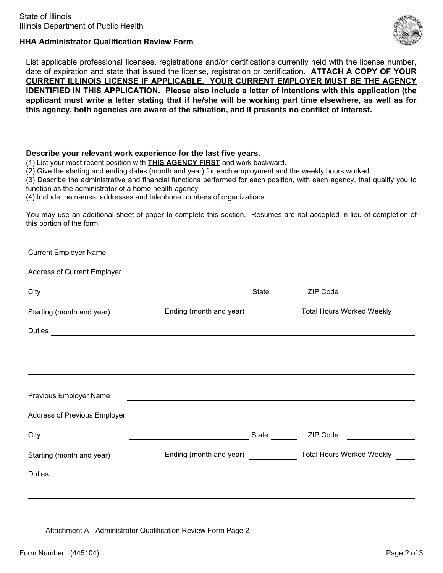

### **HHA Administrator Qualification Review Form**

List applicable professional licenses, registrations and/or certifications currently held with the license number, date of expiration and state that issued the license, registration or certification. **ATTACH A COPY OF YOUR CURRENT ILLINOIS LICENSE IF APPLICABLE. YOUR CURRENT EMPLOYER MUST BE THE AGENCY IDENTIFIED IN THIS APPLICATION. Please also include a letter of intentions with this application (the applicant must write a letter stating that if he/she will be working part time elsewhere, as well as for this agency, both agencies are aware of the situation, and it presents no conflict of interest.**

#### **Describe your relevant work experience for the last five years.**

(1) List your most recent position with **THIS AGENCY FIRST** and work backward.

(2) Give the starting and ending dates (month and year) for each employment and the weekly hours worked.

(3) Describe the administrative and financial functions performed for each position, with each agency, that qualify you to function as the administrator of a home health agency.

(4) Include the names, addresses and telephone numbers of organizations.

You may use an additional sheet of paper to complete this section. Resumes are not accepted in lieu of completion of this portion of the form.

|                                                                                                                                                                                                                                      | <u> 1989 - Johann John Stoff, deutscher Stoffen und der Stoffen und der Stoffen und der Stoffen und der Stoffen</u>   |       |                                                                          |  |
|--------------------------------------------------------------------------------------------------------------------------------------------------------------------------------------------------------------------------------------|-----------------------------------------------------------------------------------------------------------------------|-------|--------------------------------------------------------------------------|--|
|                                                                                                                                                                                                                                      |                                                                                                                       |       |                                                                          |  |
| City                                                                                                                                                                                                                                 | <u> Alexandria de la contrada de la contrada de la contrada de la contrada de la contrada de la contrada de la c</u>  |       |                                                                          |  |
| Starting (month and year) ______________ Ending (month and year) ______________ Total Hours Worked Weekly ____                                                                                                                       |                                                                                                                       |       |                                                                          |  |
| Duties <u>experimental and the set of the set of the set of the set of the set of the set of the set of the set of the set of the set of the set of the set of the set of the set of the set of the set of the set of the set of</u> |                                                                                                                       |       |                                                                          |  |
|                                                                                                                                                                                                                                      | ,我们也不会有什么。""我们的人,我们也不会有什么?""我们的人,我们也不会有什么?""我们的人,我们也不会有什么?""我们的人,我们也不会有什么?""我们的人                                      |       |                                                                          |  |
| Previous Employer Name                                                                                                                                                                                                               | <u> 1989 - Johann Harry Harry Harry Harry Harry Harry Harry Harry Harry Harry Harry Harry Harry Harry Harry Harry</u> |       |                                                                          |  |
|                                                                                                                                                                                                                                      |                                                                                                                       |       |                                                                          |  |
| City                                                                                                                                                                                                                                 |                                                                                                                       | State | ZIP Code                                                                 |  |
|                                                                                                                                                                                                                                      |                                                                                                                       |       |                                                                          |  |
| Starting (month and year)                                                                                                                                                                                                            |                                                                                                                       |       | Ending (month and year) ________________ Total Hours Worked Weekly _____ |  |

Attachment A - Administrator Qualification Review Form Page 2